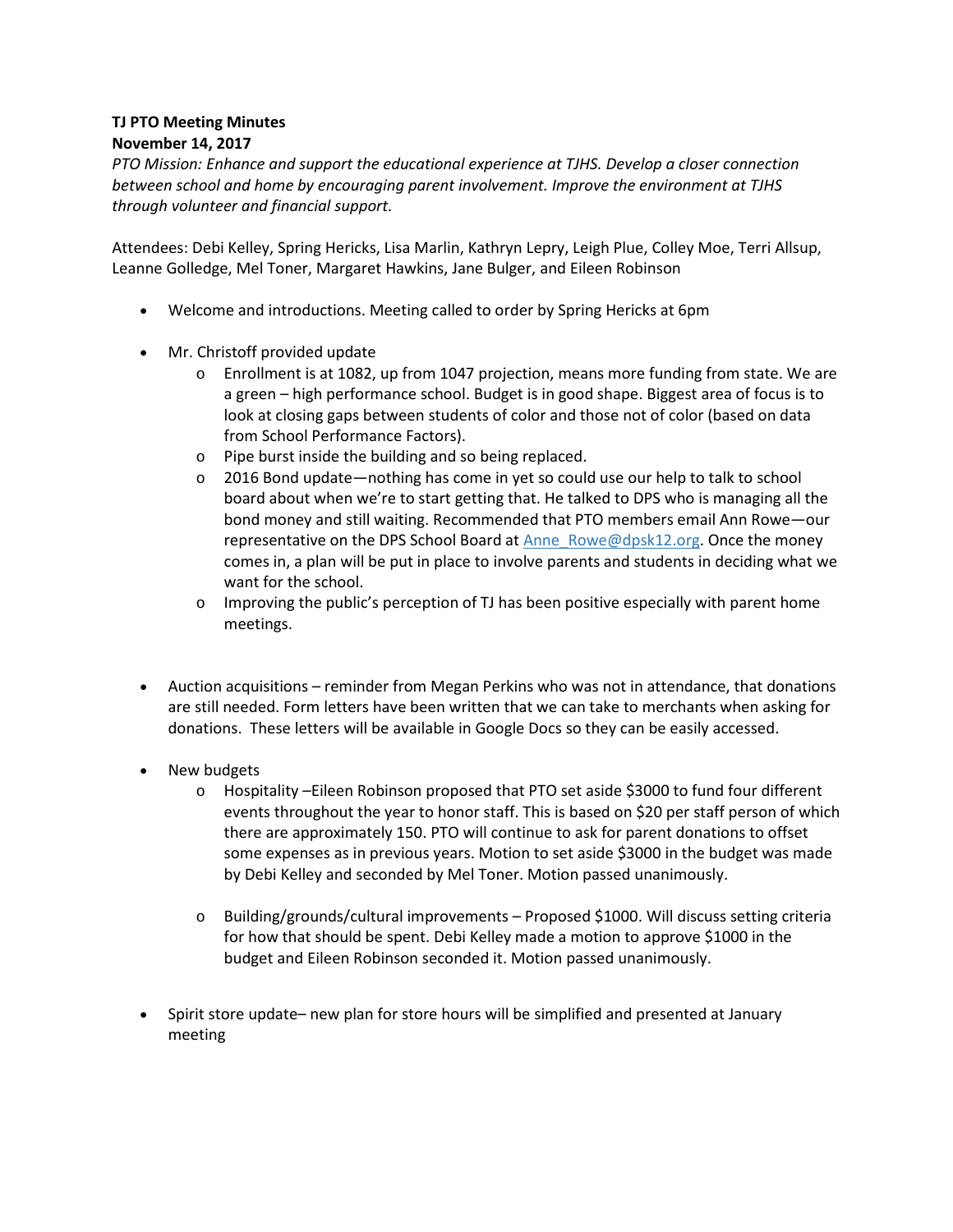## **TJ PTO Meeting Minutes November 14, 2017**

*PTO Mission: Enhance and support the educational experience at TJHS. Develop a closer connection between school and home by encouraging parent involvement. Improve the environment at TJHS through volunteer and financial support.*

Attendees: Debi Kelley, Spring Hericks, Lisa Marlin, Kathryn Lepry, Leigh Plue, Colley Moe, Terri Allsup, Leanne Golledge, Mel Toner, Margaret Hawkins, Jane Bulger, and Eileen Robinson

- Welcome and introductions. Meeting called to order by Spring Hericks at 6pm
- Mr. Christoff provided update
	- $\circ$  Enrollment is at 1082, up from 1047 projection, means more funding from state. We are a green – high performance school. Budget is in good shape. Biggest area of focus is to look at closing gaps between students of color and those not of color (based on data from School Performance Factors).
	- o Pipe burst inside the building and so being replaced.
	- o 2016 Bond update—nothing has come in yet so could use our help to talk to school board about when we're to start getting that. He talked to DPS who is managing all the bond money and still waiting. Recommended that PTO members email Ann Rowe—our representative on the DPS School Board at [Anne\\_Rowe@dpsk12.org.](mailto:Anne_Rowe@dpsk12.org) Once the money comes in, a plan will be put in place to involve parents and students in deciding what we want for the school.
	- o Improving the public's perception of TJ has been positive especially with parent home meetings.
- Auction acquisitions reminder from Megan Perkins who was not in attendance, that donations are still needed. Form letters have been written that we can take to merchants when asking for donations. These letters will be available in Google Docs so they can be easily accessed.
- New budgets
	- o Hospitality –Eileen Robinson proposed that PTO set aside \$3000 to fund four different events throughout the year to honor staff. This is based on \$20 per staff person of which there are approximately 150. PTO will continue to ask for parent donations to offset some expenses as in previous years. Motion to set aside \$3000 in the budget was made by Debi Kelley and seconded by Mel Toner. Motion passed unanimously.
	- o Building/grounds/cultural improvements Proposed \$1000. Will discuss setting criteria for how that should be spent. Debi Kelley made a motion to approve \$1000 in the budget and Eileen Robinson seconded it. Motion passed unanimously.
- Spirit store update– new plan for store hours will be simplified and presented at January meeting